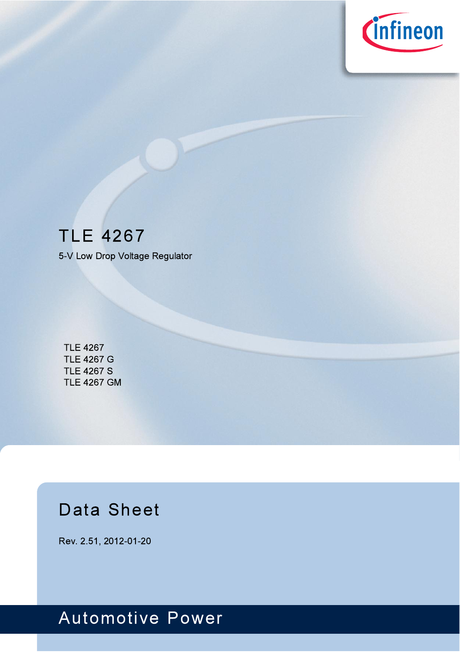

# **TLE 4267**

5-V Low Drop Voltage Regulator

**TLE 4267 TLE 4267 G TLE 4267 S TLE 4267 GM** 

# **Data Sheet**

Rev. 2.51, 2012-01-20

# **Automotive Power**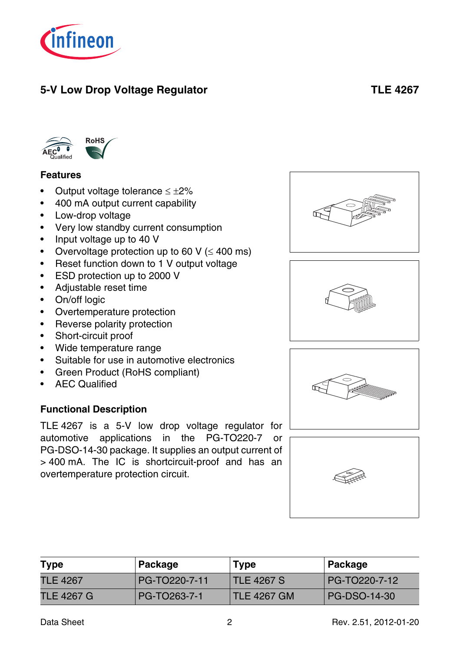

## **5-V Low Drop Voltage Regulator TLE 4267**



#### <span id="page-1-0"></span>**Features**

- Output voltage tolerance  $\leq \pm 2\%$
- 400 mA output current capability
- Low-drop voltage
- Very low standby current consumption
- Input voltage up to 40 V
- Overvoltage protection up to 60 V ( $\leq$  400 ms)
- Reset function down to 1 V output voltage
- ESD protection up to 2000 V
- Adjustable reset time
- On/off logic
- Overtemperature protection
- Reverse polarity protection
- Short-circuit proof
- Wide temperature range
- Suitable for use in automotive electronics
- Green Product (RoHS compliant)
- AEC Qualified

#### **Functional Description**

TLE 4267 is a 5-V low drop voltage regulator for automotive applications in the PG-TO220-7 or PG-DSO-14-30 package. It supplies an output current of > 400 mA. The IC is shortcircuit-proof and has an overtemperature protection circuit.

| <b>Type</b>     | Package       | <b>Type</b>        | Package             |
|-----------------|---------------|--------------------|---------------------|
| <b>TLE 4267</b> | PG-TO220-7-11 | TLE 4267 S         | PG-TO220-7-12       |
| TLE 4267 G      | PG-TO263-7-1  | <b>TLE 4267 GM</b> | <b>PG-DSO-14-30</b> |







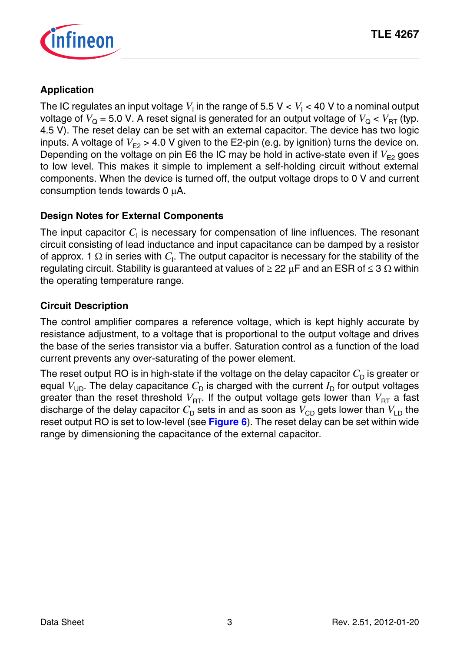

#### **Application**

The IC regulates an input voltage  $V_1$  in the range of 5.5 V  $< V_1$   $<$  40 V to a nominal output voltage of  $V_{\Omega} = 5.0$  V. A reset signal is generated for an output voltage of  $V_{\Omega} < V_{\text{RT}}$  (typ. 4.5 V). The reset delay can be set with an external capacitor. The device has two logic inputs. A voltage of  $V_{E2} > 4.0$  V given to the E2-pin (e.g. by ignition) turns the device on. Depending on the voltage on pin E6 the IC may be hold in active-state even if  $V_{E2}$  goes to low level. This makes it simple to implement a self-holding circuit without external components. When the device is turned off, the output voltage drops to 0 V and current consumption tends towards 0 μA.

#### **Design Notes for External Components**

The input capacitor  $C_{\mathsf{I}}$  is necessary for compensation of line influences. The resonant circuit consisting of lead inductance and input capacitance can be damped by a resistor of approx. 1  $\Omega$  in series with  $C_{\mathsf{I}}$ . The output capacitor is necessary for the stability of the regulating circuit. Stability is guaranteed at values of  $\geq 22 \mu$ F and an ESR of  $\leq 3 \Omega$  within the operating temperature range.

#### **Circuit Description**

The control amplifier compares a reference voltage, which is kept highly accurate by resistance adjustment, to a voltage that is proportional to the output voltage and drives the base of the series transistor via a buffer. Saturation control as a function of the load current prevents any over-saturating of the power element.

The reset output RO is in high-state if the voltage on the delay capacitor  $C<sub>D</sub>$  is greater or equal  $V_{UD}$ . The delay capacitance  $C_D$  is charged with the current  $I_D$  for output voltages greater than the reset threshold  $V_{\text{RT}}$ . If the output voltage gets lower than  $V_{\text{RT}}$  a fast discharge of the delay capacitor  $C_{\text{D}}$  sets in and as soon as  $V_{\text{CD}}$  gets lower than  $V_{\text{CD}}$  the reset output RO is set to low-level (see **[Figure 6](#page-12-0)**). The reset delay can be set within wide range by dimensioning the capacitance of the external capacitor.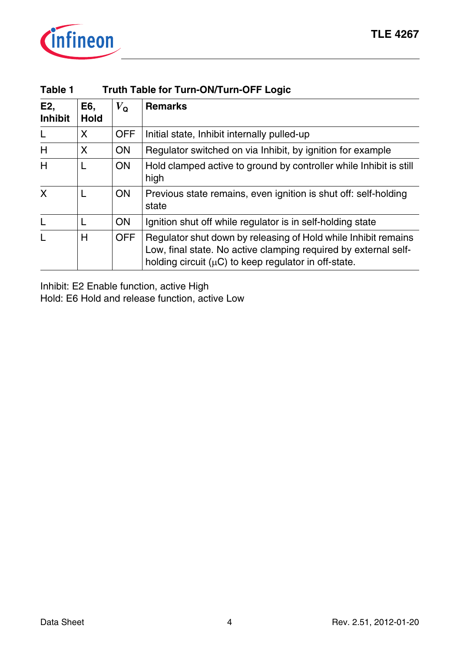

<span id="page-3-0"></span>

| Table 1               | <b>Truth Table for Turn-ON/Turn-OFF Logic</b> |              |                                                                                                                                                                                                 |  |  |  |  |  |
|-----------------------|-----------------------------------------------|--------------|-------------------------------------------------------------------------------------------------------------------------------------------------------------------------------------------------|--|--|--|--|--|
| E2,<br><b>Inhibit</b> | E6.<br><b>Hold</b>                            | $V_{\Omega}$ | <b>Remarks</b>                                                                                                                                                                                  |  |  |  |  |  |
| L                     | X                                             | <b>OFF</b>   | Initial state, Inhibit internally pulled-up                                                                                                                                                     |  |  |  |  |  |
| H                     | X                                             | <b>ON</b>    | Regulator switched on via Inhibit, by ignition for example                                                                                                                                      |  |  |  |  |  |
| H                     | L                                             | <b>ON</b>    | Hold clamped active to ground by controller while Inhibit is still<br>high                                                                                                                      |  |  |  |  |  |
| X                     |                                               | <b>ON</b>    | Previous state remains, even ignition is shut off: self-holding<br>state                                                                                                                        |  |  |  |  |  |
| L                     | L                                             | <b>ON</b>    | Ignition shut off while regulator is in self-holding state                                                                                                                                      |  |  |  |  |  |
| $\mathbf{I}$          | н                                             | OFF          | Regulator shut down by releasing of Hold while Inhibit remains<br>Low, final state. No active clamping required by external self-<br>holding circuit ( $\mu$ C) to keep regulator in off-state. |  |  |  |  |  |

Inhibit: E2 Enable function, active High Hold: E6 Hold and release function, active Low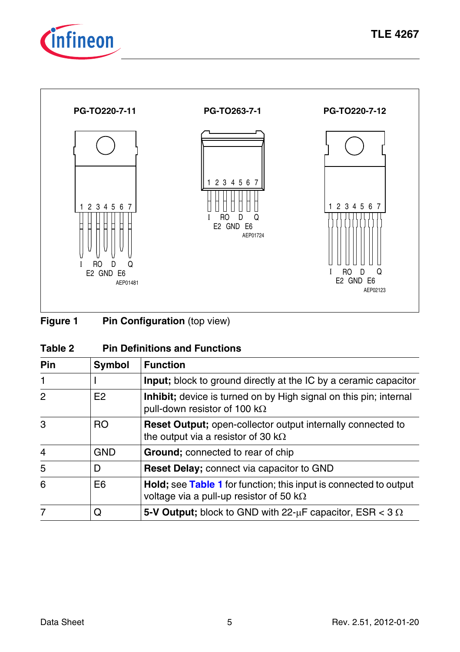



**Figure 1** Pin Configuration (top view)

| <b>Pin Definitions and Functions</b><br>Table 2 |  |
|-------------------------------------------------|--|
|-------------------------------------------------|--|

| Pin            | Symbol         | <b>Function</b>                                                                                                      |
|----------------|----------------|----------------------------------------------------------------------------------------------------------------------|
| $\mathbf{1}$   |                | <b>Input</b> ; block to ground directly at the IC by a ceramic capacitor                                             |
| 2              | F <sub>2</sub> | Inhibit; device is turned on by High signal on this pin; internal<br>pull-down resistor of 100 k $\Omega$            |
| 3              | RO             | <b>Reset Output;</b> open-collector output internally connected to<br>the output via a resistor of 30 k $\Omega$     |
| $\overline{4}$ | GND            | <b>Ground:</b> connected to rear of chip                                                                             |
| 5              | D              | Reset Delay; connect via capacitor to GND                                                                            |
| 6              | E6             | Hold; see Table 1 for function; this input is connected to output<br>voltage via a pull-up resistor of 50 k $\Omega$ |
|                | O              | 5-V Output; block to GND with 22- $\mu$ F capacitor, ESR < 3 $\Omega$                                                |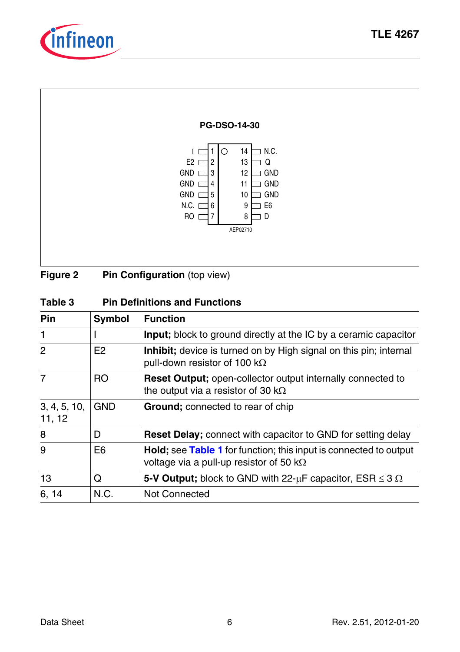



**Figure 2** Pin Configuration (top view)

| Table 3 | <b>Pin Definitions and Functions</b> |
|---------|--------------------------------------|
|---------|--------------------------------------|

| Pin                    | <b>Symbol</b>  | <b>Function</b>                                                                                                              |
|------------------------|----------------|------------------------------------------------------------------------------------------------------------------------------|
| 1                      |                | <b>Input:</b> block to ground directly at the IC by a ceramic capacitor                                                      |
| $\mathcal{P}$          | E <sub>2</sub> | Inhibit; device is turned on by High signal on this pin; internal<br>pull-down resistor of 100 k $\Omega$                    |
| 7                      | R <sub>O</sub> | <b>Reset Output:</b> open-collector output internally connected to<br>the output via a resistor of 30 k $\Omega$             |
| 3, 4, 5, 10,<br>11, 12 | <b>GND</b>     | <b>Ground:</b> connected to rear of chip                                                                                     |
| 8                      | D              | <b>Reset Delay:</b> connect with capacitor to GND for setting delay                                                          |
| 9                      | E6             | <b>Hold</b> ; see Table 1 for function; this input is connected to output<br>voltage via a pull-up resistor of 50 k $\Omega$ |
| 13                     | Q              | 5-V Output; block to GND with 22- $\mu$ F capacitor, ESR $\leq$ 3 $\Omega$                                                   |
| 6, 14                  | N.C.           | Not Connected                                                                                                                |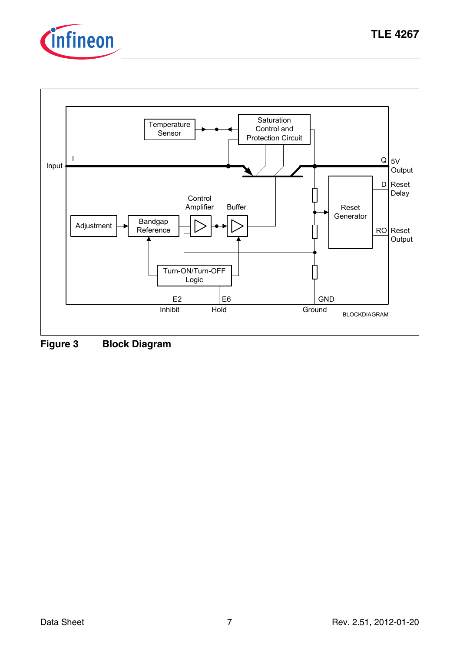



<span id="page-6-0"></span>**Figure 3 Block Diagram**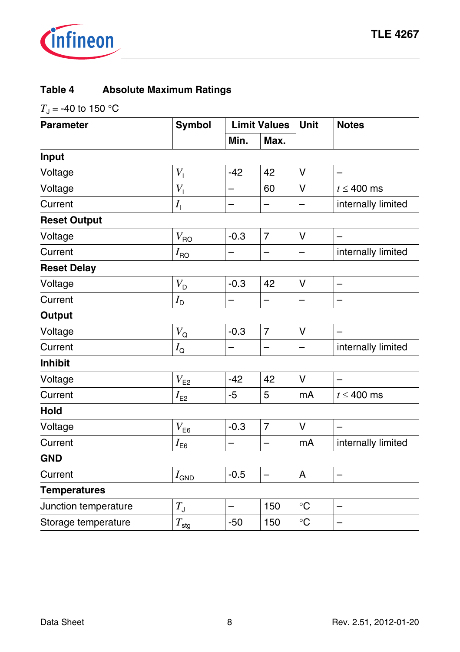

#### **Table 4 Absolute Maximum Ratings**

 $T_{\rm J}$  = -40 to 150 °C

| <b>Parameter</b>     | <b>Symbol</b>                 |                          | <b>Limit Values</b>      |             | <b>Notes</b>             |
|----------------------|-------------------------------|--------------------------|--------------------------|-------------|--------------------------|
|                      |                               | Min.                     | Max.                     |             |                          |
| Input                |                               |                          |                          |             |                          |
| Voltage              | V <sub>1</sub>                | $-42$                    | 42                       | v           |                          |
| Voltage              | $V_{\rm l}$                   |                          | 60                       | v           | $t \leq 400$ ms          |
| Current              | $I_{\rm I}$                   |                          |                          |             | internally limited       |
| <b>Reset Output</b>  |                               |                          |                          |             |                          |
| Voltage              | $V_{\sf{RO}}$                 | $-0.3$                   | $\overline{7}$           | V           |                          |
| Current              | $I_{\mathsf{RO}}$             |                          | -                        | —           | internally limited       |
| <b>Reset Delay</b>   |                               |                          |                          |             |                          |
| Voltage              | $V_D$                         | $-0.3$                   | 42                       | v           | $\overline{\phantom{0}}$ |
| Current              | $I_{\mathsf{D}}$              |                          | $\qquad \qquad$          | —           |                          |
| Output               |                               |                          |                          |             |                          |
| Voltage              | $V_{\mathsf{Q}}$              | $-0.3$                   | $\overline{7}$           | v           |                          |
| Current              | $I_{\mathsf{Q}}$              |                          |                          |             | internally limited       |
| <b>Inhibit</b>       |                               |                          |                          |             |                          |
| Voltage              | $V_{\sf E2}$                  | $-42$                    | 42                       | v           |                          |
| Current              | $I_{\mathsf{E2}}$             | -5                       | 5                        | mA          | $t \leq 400$ ms          |
| Hold                 |                               |                          |                          |             |                          |
| Voltage              | $V_{E6}$                      | $-0.3$                   | $\overline{7}$           | v           |                          |
| Current              | $I_{\mathsf{E}\underline{6}}$ |                          |                          | mA          | internally limited       |
| <b>GND</b>           |                               |                          |                          |             |                          |
| Current              | $I_{\mathsf{GND}}$            | $-0.5$                   | $\overline{\phantom{0}}$ | A           |                          |
| <b>Temperatures</b>  |                               |                          |                          |             |                          |
| Junction temperature | $T_{\rm J}$                   | $\overline{\phantom{0}}$ | 150                      | $^{\circ}C$ |                          |
| Storage temperature  | $T_{\rm stg}$                 | $-50$                    | 150                      | $\circ$ C   |                          |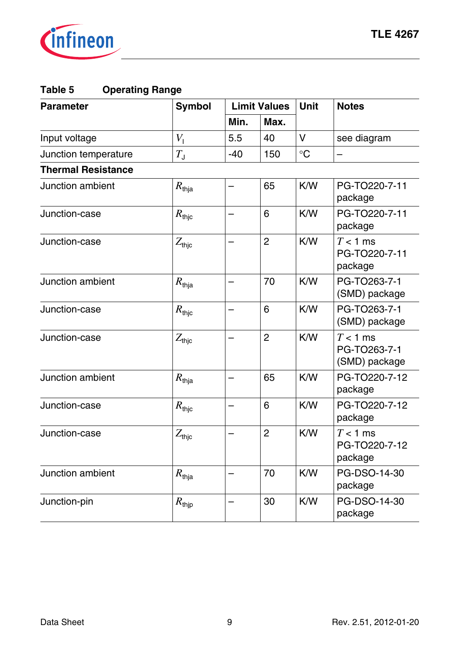

#### **Table 5 Operating Range**

| <b>Parameter</b>          | <b>Symbol</b>       |       | <b>Limit Values</b> |             | <b>Notes</b>                                |
|---------------------------|---------------------|-------|---------------------|-------------|---------------------------------------------|
|                           |                     | Min.  | Max.                |             |                                             |
| Input voltage             | $V_{1}$             | 5.5   | 40                  | V           | see diagram                                 |
| Junction temperature      | $T_{\rm J}$         | $-40$ | 150                 | $^{\circ}C$ |                                             |
| <b>Thermal Resistance</b> |                     |       |                     |             |                                             |
| Junction ambient          | $R_{\rm thja}$      | —     | 65                  | K/W         | PG-TO220-7-11<br>package                    |
| Junction-case             | $R_{\mathsf{thic}}$ | —     | 6                   | K/W         | PG-TO220-7-11<br>package                    |
| Junction-case             | $Z_{\text{thjc}}$   |       | $\overline{c}$      | K/W         | $T < 1$ ms<br>PG-TO220-7-11<br>package      |
| Junction ambient          | $R_{\mathsf{thia}}$ |       | 70                  | K/W         | PG-TO263-7-1<br>(SMD) package               |
| Junction-case             | $R_{\text{thic}}$   |       | 6                   | K/W         | PG-TO263-7-1<br>(SMD) package               |
| Junction-case             | $Z_{\mathsf{thjc}}$ |       | 2                   | K/W         | $T < 1$ ms<br>PG-TO263-7-1<br>(SMD) package |
| Junction ambient          | $R_{\rm thja}$      |       | 65                  | K/W         | PG-TO220-7-12<br>package                    |
| Junction-case             | $R_{\rm thjc}$      | -     | 6                   | K/W         | PG-TO220-7-12<br>package                    |
| Junction-case             | $Z_{\rm thic}$      |       | $\overline{c}$      | K/W         | $T < 1$ ms<br>PG-TO220-7-12<br>package      |
| Junction ambient          | $R_{\rm thja}$      |       | 70                  | K/W         | PG-DSO-14-30<br>package                     |
| Junction-pin              | $R_{\text{tip}}$    |       | 30                  | K/W         | PG-DSO-14-30<br>package                     |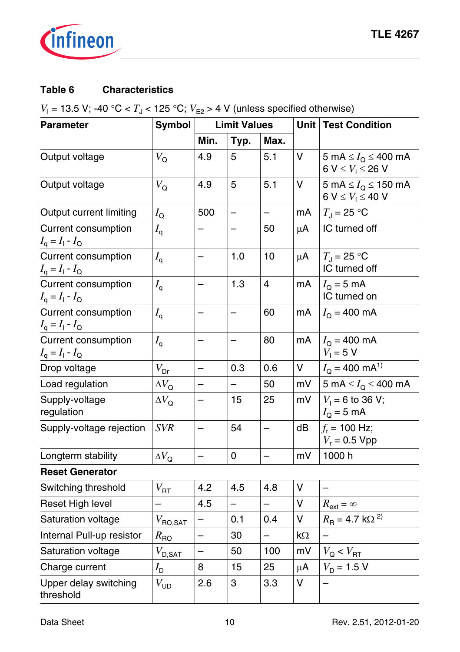

## **Table 6 Characteristics**

 $V_{\text{l}}$  = 13.5 V; -40 °C <  $T_{\text{J}}$  < 125 °C;  $V_{\text{E2}}$  > 4 V (unless specified otherwise)

| <b>Parameter</b>                                           | Symbol                        | <b>Limit Values</b>      |                          |                          | Unit | <b>Test Condition</b>                                          |  |
|------------------------------------------------------------|-------------------------------|--------------------------|--------------------------|--------------------------|------|----------------------------------------------------------------|--|
|                                                            |                               | Min.                     | Typ.                     | Max.                     |      |                                                                |  |
| Output voltage                                             | $V_{\mathsf{Q}}$              | 4.9                      | 5                        | 5.1                      | V    | 5 mA $\leq I_{Q} \leq 400$ mA<br>6 V $\leq V_1 \leq 26$ V      |  |
| Output voltage                                             | $V_{\mathsf{Q}}$              | 4.9                      | 5                        | 5.1                      | V    | 5 mA $\leq I_{\Omega} \leq 150$ mA<br>6 V $\leq V_1 \leq 40$ V |  |
| Output current limiting                                    | $I_{\mathsf{Q}}$              | 500                      | $\overline{\phantom{0}}$ |                          | mA   | $T_{\rm J}$ = 25 °C                                            |  |
| Current consumption<br>$I_{\rm q} = I_{\rm l} - I_{\rm Q}$ | $I_{\mathsf{q}}$              |                          |                          | 50                       | μA   | IC turned off                                                  |  |
| Current consumption<br>$I_{\rm q} = I_{\rm l} - I_{\rm Q}$ | $I_{\mathsf{q}}$              | $\overline{\phantom{0}}$ | 1.0                      | 10                       | μA   | $T_{\rm J}$ = 25 °C<br>IC turned off                           |  |
| Current consumption<br>$I_{\rm q} = I_{\rm l} - I_{\rm Q}$ | $I_{\mathsf{q}}$              |                          | 1.3                      | $\overline{4}$           | mA   | $I_{\rm O}$ = 5 mA<br>IC turned on                             |  |
| Current consumption<br>$I_{\rm q} = I_{\rm l} - I_{\rm Q}$ | $I_{\mathsf{q}}$              |                          | —                        | 60                       | mA   | $I_{\rm O}$ = 400 mA                                           |  |
| Current consumption<br>$I_{\rm q} = I_{\rm l} - I_{\rm Q}$ | $I_{\mathsf{q}}$              |                          | $\overline{\phantom{0}}$ | 80                       | mA   | $I_{\Omega}$ = 400 mA<br>$V_1 = 5 V$                           |  |
| Drop voltage                                               | $V_{\text{Dr}}$               | $\overline{\phantom{0}}$ | 0.3                      | 0.6                      | V    | $I_{\Omega}$ = 400 mA <sup>1)</sup>                            |  |
| Load regulation                                            | $\Delta V_{\rm Q}$            |                          |                          | 50                       | mV   | 5 mA $\leq I_{\Omega} \leq 400$ mA                             |  |
| Supply-voltage<br>regulation                               | $\Delta V_{\Omega}$           |                          | 15                       | 25                       | mV   | $V_1 = 6$ to 36 V;<br>$I_{\rm Q}$ = 5 mA                       |  |
| Supply-voltage rejection                                   | <b>SVR</b>                    | $\overline{\phantom{0}}$ | 54                       | $\overline{\phantom{0}}$ | dB   | $f_r$ = 100 Hz;<br>$V_r = 0.5 Vpp$                             |  |
| Longterm stability                                         | $\Delta V_{\rm Q}$            |                          | 0                        |                          | mV   | 1000h                                                          |  |
| <b>Reset Generator</b>                                     |                               |                          |                          |                          |      |                                                                |  |
| Switching threshold                                        | $V_{\rm RT}$                  | 4.2                      | 4.5                      | 4.8                      | v    |                                                                |  |
| Reset High level                                           |                               | 4.5                      |                          |                          | v    | $R_{\text{ext}} = \infty$                                      |  |
| Saturation voltage                                         | $V_{\text{RO,SAT}}$           | $\equiv$                 | 0.1                      | 0.4                      | V    | $R_{\rm B}$ = 4.7 k $\Omega^{2}$                               |  |
| Internal Pull-up resistor                                  | $R_{\text{RO}}$               | $\overline{\phantom{0}}$ | 30                       | $\overline{\phantom{0}}$ | kΩ   |                                                                |  |
| Saturation voltage                                         | $V_{\mathsf{D},\mathsf{SAT}}$ | $\overline{\phantom{0}}$ | 50                       | 100                      | mV   | $V_{\text{Q}} < V_{\text{RT}}$                                 |  |
| Charge current                                             | $I_{\mathsf{D}}$              | 8                        | 15                       | 25                       | μA   | $V_D = 1.5 V$                                                  |  |
| Upper delay switching<br>threshold                         | $V_{UD}$                      | 2.6                      | 3                        | 3.3                      | v    | —                                                              |  |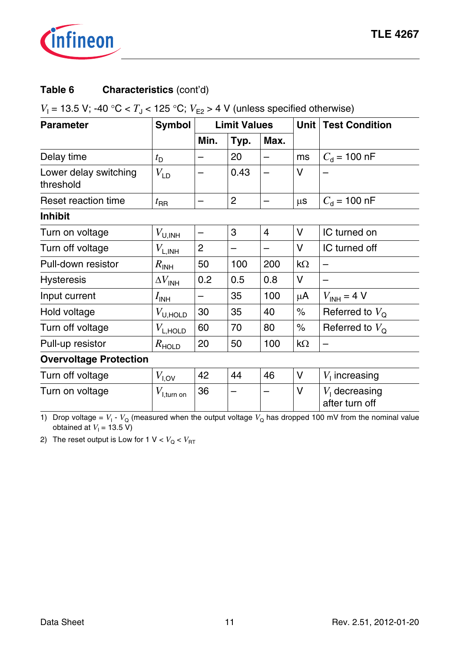

#### Table 6 **Characteristics** (cont'd)

### $V_{\text{l}}$  = 13.5 V; -40 °C <  $T_{\text{J}}$  < 125 °C;  $V_{\text{E2}}$  > 4 V (unless specified otherwise)

| <b>Parameter</b>                   | Symbol                             | <b>Limit Values</b> |      |                          | Unit | <b>Test Condition</b>             |
|------------------------------------|------------------------------------|---------------------|------|--------------------------|------|-----------------------------------|
|                                    |                                    | Min.                | Typ. | Max.                     |      |                                   |
| Delay time                         | $t_{\rm D}$                        |                     | 20   | $\overline{\phantom{0}}$ | ms   | $C_{\rm d}$ = 100 nF              |
| Lower delay switching<br>threshold | $V_{LD}$                           |                     | 0.43 |                          | v    |                                   |
| Reset reaction time                | $t_{\sf RR}$                       |                     | 2    |                          | μs   | $C_{\rm d}$ = 100 nF              |
| <b>Inhibit</b>                     |                                    |                     |      |                          |      |                                   |
| Turn on voltage                    | $V_{\text{U,INH}}$                 |                     | 3    | 4                        | v    | IC turned on                      |
| Turn off voltage                   | $V_{\mathsf{L},\mathsf{INH}}$      | 2                   |      |                          | v    | IC turned off                     |
| Pull-down resistor                 | $R_{\text{INH}}$                   | 50                  | 100  | 200                      | kΩ   |                                   |
| <b>Hysteresis</b>                  | $\Delta V_{\sf INH}$               | 0.2                 | 0.5  | 0.8                      | v    |                                   |
| Input current                      | $I_{\mathsf{INH}}$                 |                     | 35   | 100                      | μA   | $V_{INH}$ = 4 V                   |
| Hold voltage                       | $V_{\mathsf{U},\mathsf{HOLD}}$     | 30                  | 35   | 40                       | $\%$ | Referred to $V_{\Omega}$          |
| Turn off voltage                   | $V_{\text{L,HOLD}}$                | 60                  | 70   | 80                       | $\%$ | Referred to $V_{\Omega}$          |
| Pull-up resistor                   | $R$ <sub>HOLD</sub>                | 20                  | 50   | 100                      | kΩ   |                                   |
| <b>Overvoltage Protection</b>      |                                    |                     |      |                          |      |                                   |
| Turn off voltage                   | $V_{\text{I,OV}}$                  | 42                  | 44   | 46                       | v    | $V1$ increasing                   |
| Turn on voltage                    | $V_{\mathsf{I},\mathsf{turn\;on}}$ | 36                  |      |                          | v    | $V1$ decreasing<br>after turn off |

1) Drop voltage =  $V_1$  -  $V_Q$  (measured when the output voltage  $V_Q$  has dropped 100 mV from the nominal value obtained at  $V_1$  = 13.5 V)

2) The reset output is Low for 1  $V < V_Q < V_{\text{RT}}$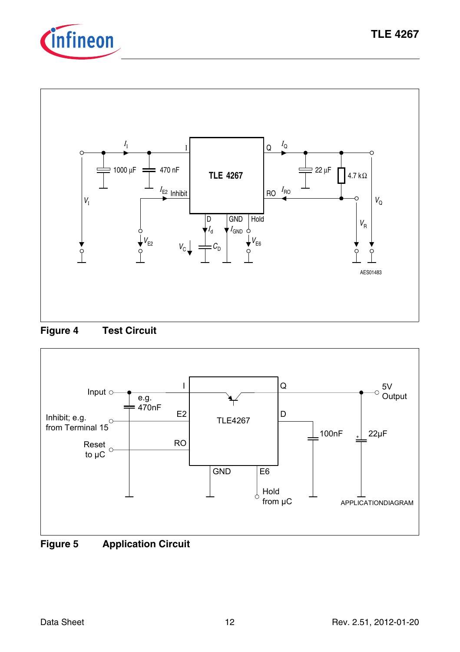







<span id="page-11-0"></span>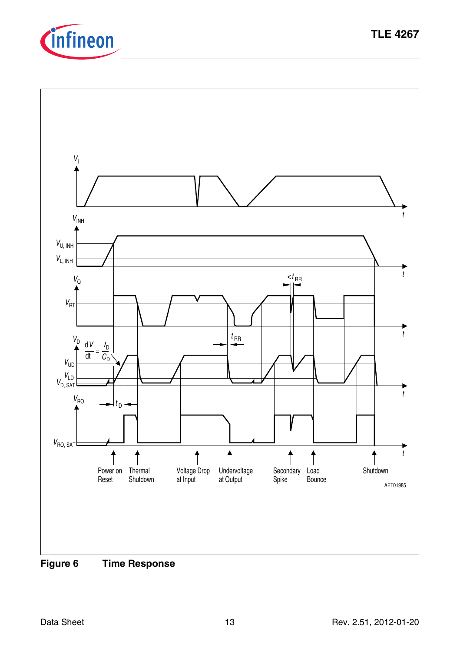

<span id="page-12-0"></span>

**TLE 4267**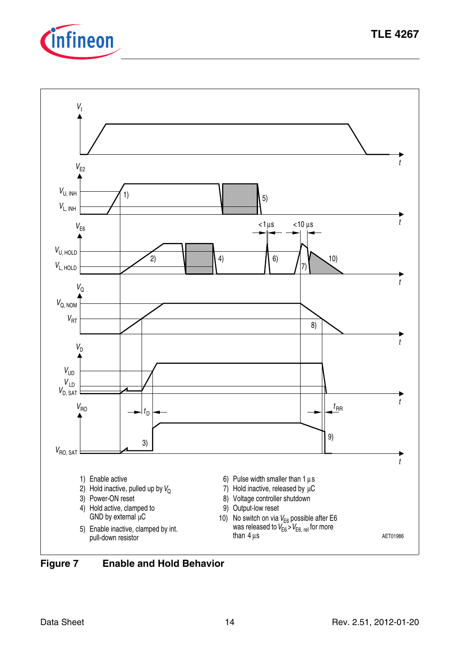



was released to  $V_{E6}$  >  $V_{E6, rel}$  for more 10) No switch on via  $V_{E6}$  possible after E6 than 4 μs



5) Enable inactive, clamped by int.

pull-down resistor

AET01986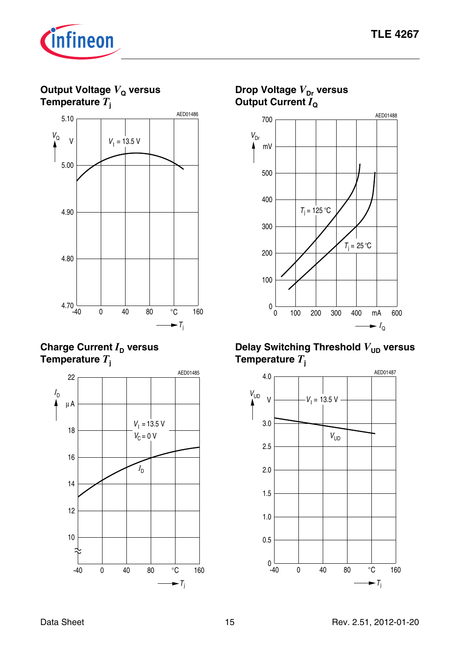AED01488



**Output Voltage** *V***Q versus Temperature** *T***<sup>j</sup>**



**Charge Current**  $I<sub>D</sub>$  **versus Temperature** *T***<sup>j</sup>**



**Drop Voltage**  $V_{\text{Dr}}$  **versus Output Current**  $I_0$ 700  $V_{\text{Dr}}$ ۸ mV



#### **Delay Switching Threshold**  $V_{UD}$  **versus Temperature** *T***<sup>j</sup>**

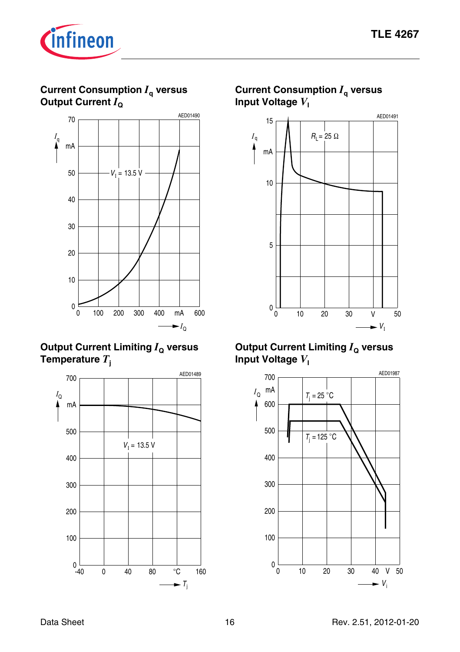

#### **Current Consumption** *I***q versus Output Current**  $I_{\text{o}}$



#### **Output Current Limiting**  $I_0$  **versus Temperature** *T***<sup>j</sup>**



#### **Current Consumption** *I***q versus Input Voltage**  $V_1$



#### **Output Current Limiting**  $I_0$  **versus Input Voltage**  $V_1$

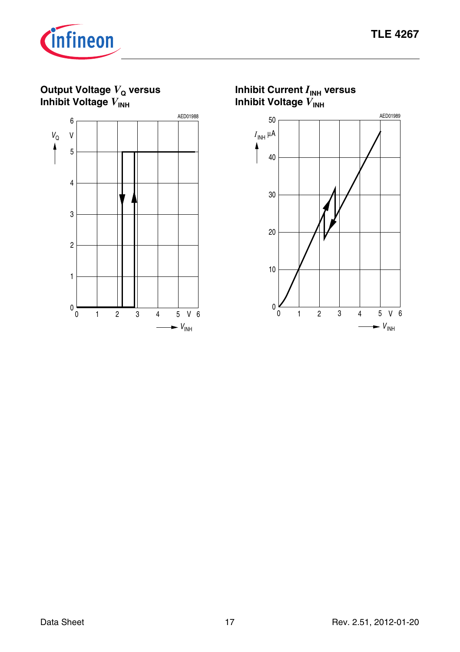*V* INH



**Output Voltage**  $V_Q$  **versus Inhibit Voltage**  $V_{\text{INH}}$ 



**Inhibit Current** *I***INH versus Inhibit Voltage** *V***INH** 0  $^{\circ}$  0 AED01989  $I_{\mathsf{INH}}$  μΑ 1 2 3 4 5 V 6 10 20 30 40 50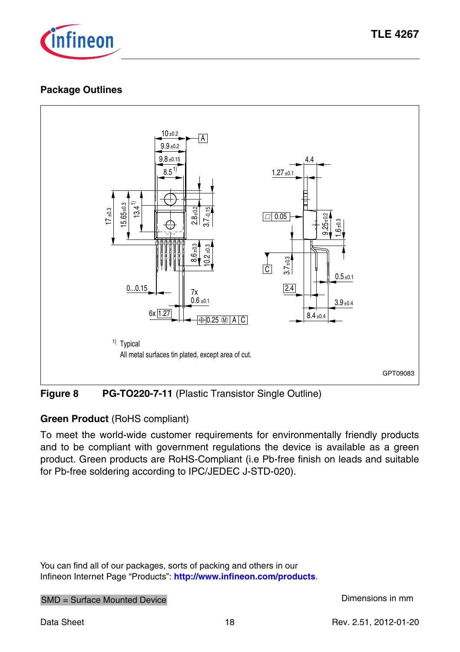

#### <span id="page-17-0"></span>**Package Outlines**



**Figure 8 PG-TO220-7-11** (Plastic Transistor Single Outline)

#### **Green Product** (RoHS compliant)

To meet the world-wide customer requirements for environmentally friendly products and to be compliant with government regulations the device is available as a green product. Green products are RoHS-Compliant (i.e Pb-free finish on leads and suitable for Pb-free soldering according to IPC/JEDEC J-STD-020).

You can find all of our packages, sorts of packing and others in our Infineon Internet Page "Products": **<http://www.infineon.com/products>**.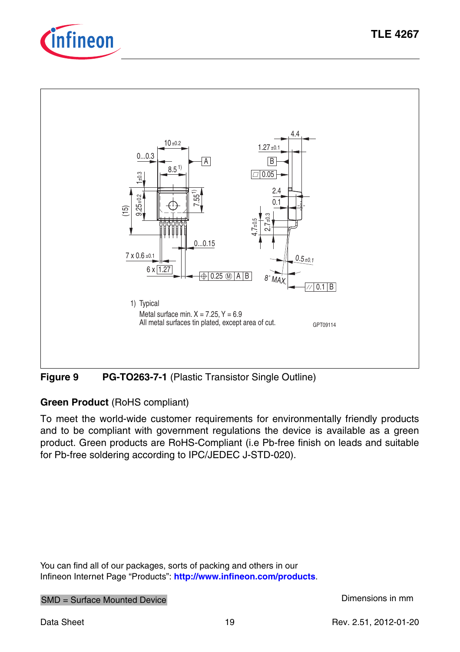



**Figure 9 PG-TO263-7-1** (Plastic Transistor Single Outline)

## **Green Product** (RoHS compliant)

To meet the world-wide customer requirements for environmentally friendly products and to be compliant with government regulations the device is available as a green product. Green products are RoHS-Compliant (i.e Pb-free finish on leads and suitable for Pb-free soldering according to IPC/JEDEC J-STD-020).

You can find all of our packages, sorts of packing and others in our Infineon Internet Page "Products": **<http://www.infineon.com/products>**.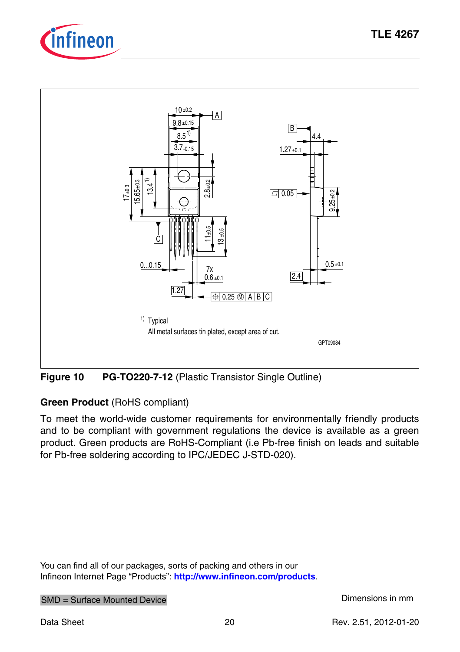



**Figure 10 PG-TO220-7-12** (Plastic Transistor Single Outline)

#### **Green Product** (RoHS compliant)

To meet the world-wide customer requirements for environmentally friendly products and to be compliant with government regulations the device is available as a green product. Green products are RoHS-Compliant (i.e Pb-free finish on leads and suitable for Pb-free soldering according to IPC/JEDEC J-STD-020).

You can find all of our packages, sorts of packing and others in our Infineon Internet Page "Products": **<http://www.infineon.com/products>**.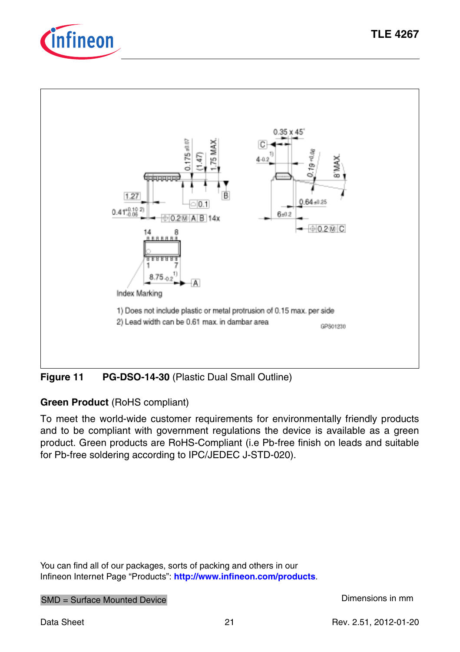



## **Figure 11 PG-DSO-14-30** (Plastic Dual Small Outline)

### **Green Product** (RoHS compliant)

To meet the world-wide customer requirements for environmentally friendly products and to be compliant with government regulations the device is available as a green product. Green products are RoHS-Compliant (i.e Pb-free finish on leads and suitable for Pb-free soldering according to IPC/JEDEC J-STD-020).

You can find all of our packages, sorts of packing and others in our Infineon Internet Page "Products": **<http://www.infineon.com/products>**.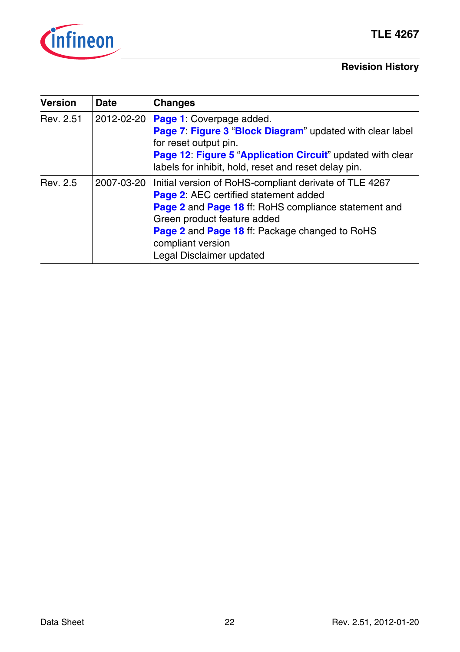

### **Revision History**

| <b>Version</b> | Date       | <b>Changes</b>                                                                                                                                                                                                                                                                                   |
|----------------|------------|--------------------------------------------------------------------------------------------------------------------------------------------------------------------------------------------------------------------------------------------------------------------------------------------------|
| Rev. 2.51      | 2012-02-20 | Page 1: Coverpage added.<br>Page 7: Figure 3 "Block Diagram" updated with clear label<br>for reset output pin.<br>Page 12: Figure 5 "Application Circuit" updated with clear<br>labels for inhibit, hold, reset and reset delay pin.                                                             |
| Rev. 2.5       | 2007-03-20 | Initial version of RoHS-compliant derivate of TLE 4267<br><b>Page 2: AEC certified statement added</b><br>Page 2 and Page 18 ff: RoHS compliance statement and<br>Green product feature added<br>Page 2 and Page 18 ff: Package changed to RoHS<br>compliant version<br>Legal Disclaimer updated |